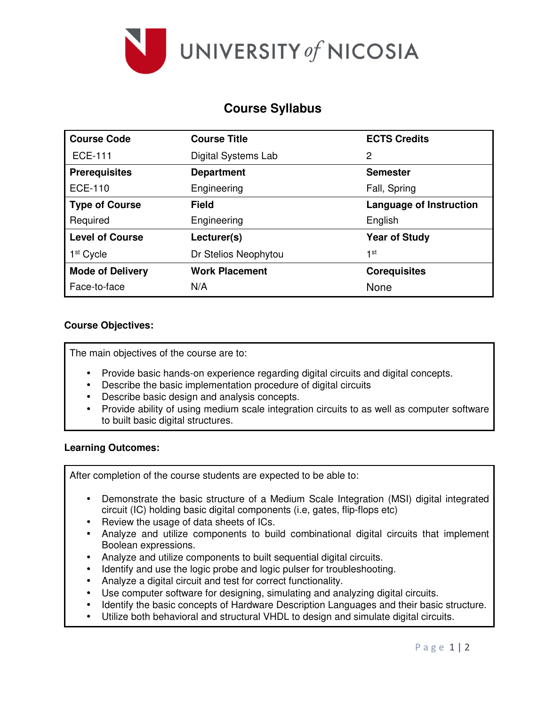

# **Course Syllabus**

| <b>Course Code</b>      | <b>Course Title</b>   | <b>ECTS Credits</b>            |  |  |
|-------------------------|-----------------------|--------------------------------|--|--|
| <b>ECE-111</b>          | Digital Systems Lab   | 2                              |  |  |
| <b>Prerequisites</b>    | <b>Department</b>     | <b>Semester</b>                |  |  |
| <b>ECE-110</b>          | Engineering           | Fall, Spring                   |  |  |
| <b>Type of Course</b>   | <b>Field</b>          | <b>Language of Instruction</b> |  |  |
| Required                | Engineering           | English                        |  |  |
| <b>Level of Course</b>  | Lecturer(s)           | <b>Year of Study</b>           |  |  |
| 1 <sup>st</sup> Cycle   | Dr Stelios Neophytou  | 1st                            |  |  |
| <b>Mode of Delivery</b> | <b>Work Placement</b> | <b>Corequisites</b>            |  |  |
| Face-to-face            | N/A                   | None                           |  |  |

# **Course Objectives:**

The main objectives of the course are to:

- Provide basic hands-on experience regarding digital circuits and digital concepts.
- Describe the basic implementation procedure of digital circuits
- Describe basic design and analysis concepts.
- Provide ability of using medium scale integration circuits to as well as computer software to built basic digital structures.

## **Learning Outcomes:**

After completion of the course students are expected to be able to:

- Demonstrate the basic structure of a Medium Scale Integration (MSI) digital integrated circuit (IC) holding basic digital components (i.e, gates, flip-flops etc)
- Review the usage of data sheets of ICs.
- Analyze and utilize components to build combinational digital circuits that implement Boolean expressions.
- Analyze and utilize components to built sequential digital circuits.
- Identify and use the logic probe and logic pulser for troubleshooting.
- Analyze a digital circuit and test for correct functionality.
- Use computer software for designing, simulating and analyzing digital circuits.
- Identify the basic concepts of Hardware Description Languages and their basic structure.
- Utilize both behavioral and structural VHDL to design and simulate digital circuits.